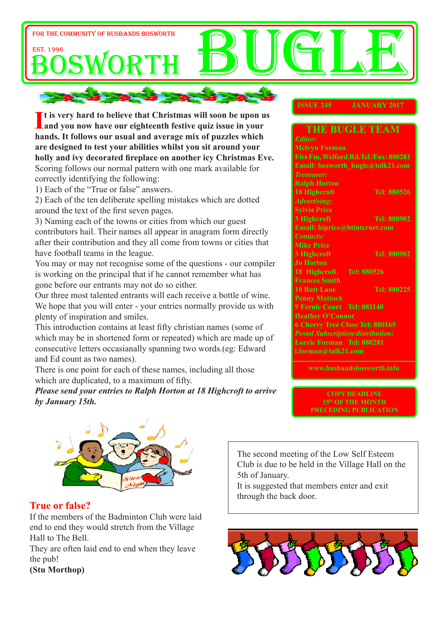

If is very hard to believe that Christmas will soon be upon u<br>
and you now have our eighteenth festive quiz issue in your **t is very hard to believe that Christmas will soon be upon us hands. It follows our usual and average mix of puzzles which are designed to test your abilities whilst you sit around your holly and ivy decorated fireplace on another icy Christmas Eve.** Scoring follows our normal pattern with one mark available for correctly identifying the following:

1) Each of the "True or false" answers.

2) Each of the ten deliberate spelling mistakes which are dotted around the text of the first seven pages.

3) Naming each of the towns or cities from which our guest contributors hail. Their names all appear in anagram form directly after their contribution and they all come from towns or cities that have football teams in the league.

You may or may not recognise some of the questions - our compiler is working on the principal that if he cannot remember what has gone before our entrants may not do so either.

Our three most talented entrants will each receive a bottle of wine. We hope that you will enter - your entries normally provide us with plenty of inspiration and smiles.

This introduction contains at least fifty christian names (some of which may be in shortened form or repeated) which are made up of consecutive letters occasianally spanning two words.(eg: Edward and Ed count as two names).

There is one point for each of these names, including all those which are duplicated, to a maximum of fifty.

*Please send your entries to Ralph Horton at 18 Highcroft to arrive by January 15th.*

#### **ISSUE 245 JANUARY 2017**

|                                          | <b>THE BUGLE TEAM</b>               |  |  |  |  |
|------------------------------------------|-------------------------------------|--|--|--|--|
| <b>Editor:</b>                           |                                     |  |  |  |  |
| <b>Melvyn Forman</b>                     |                                     |  |  |  |  |
|                                          | Firs Fm, Welford Rd.Tel/Fax: 880281 |  |  |  |  |
|                                          | Email: bosworth bugle@talk21.com    |  |  |  |  |
| <b>Treasurer:</b>                        |                                     |  |  |  |  |
| <b>Ralph Horton</b>                      |                                     |  |  |  |  |
| <b>18 Highcroft</b>                      | Tel: 880526                         |  |  |  |  |
| <b>Advertising:</b>                      |                                     |  |  |  |  |
| <b>Sylvia Price</b>                      |                                     |  |  |  |  |
| 3 Highcroft                              | <b>Tel: 880902</b>                  |  |  |  |  |
| Email: hiprice@btinternet.com            |                                     |  |  |  |  |
| <b>Contacts:</b>                         |                                     |  |  |  |  |
| <b>Mike Price</b>                        |                                     |  |  |  |  |
| 3 Highcroft                              | <b>Tel: 880902</b>                  |  |  |  |  |
| <b>Jo Horton</b>                         |                                     |  |  |  |  |
| 18 Highcroft.                            | Tel: 880526                         |  |  |  |  |
| <b>Frances Smith</b>                     |                                     |  |  |  |  |
| <b>10 Butt Lane</b>                      | Tel: 880225                         |  |  |  |  |
| <b>Penny Mattock</b>                     |                                     |  |  |  |  |
| 9 Fernie Court Tel: 881140               |                                     |  |  |  |  |
| <b>Heather O'Connor</b>                  |                                     |  |  |  |  |
| <b>6 Cherry Tree Close Tel: 880165</b>   |                                     |  |  |  |  |
| <b>Postal Subscription/distribution:</b> |                                     |  |  |  |  |
| Lorrie Forman Tel: 880281                |                                     |  |  |  |  |
| l.forman@talk21.com                      |                                     |  |  |  |  |
|                                          |                                     |  |  |  |  |

**www.husbandsbosworth.info** 

**COPY DEADLINE 15th OF THE MONTH PRECEDING PUBLICATION** 



#### **True or false?**

If the members of the Badminton Club were laid end to end they would stretch from the Village Hall to The Bell.

They are often laid end to end when they leave the pub!

**(Stu Morthop)**

The second meeting of the Low Self Esteem Club is due to be held in the Village Hall on the 5th of January.

It is suggested that members enter and exit through the back door.

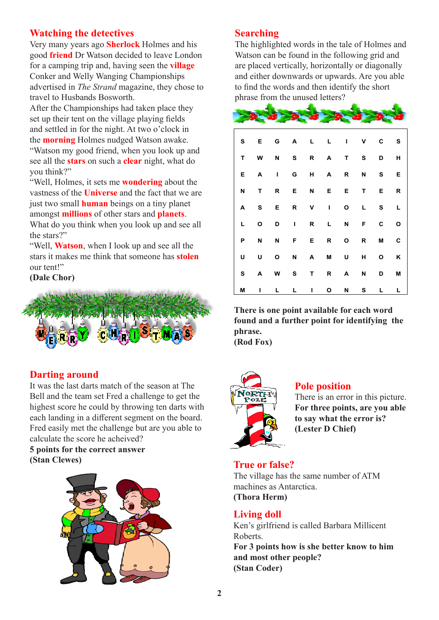# **Watching the detectives**

Very many years ago **Sherlock** Holmes and his good **friend** Dr Watson decided to leave London for a camping trip and, having seen the **village** Conker and Welly Wanging Championships advertised in *The Strand* magazine, they chose to travel to Husbands Bosworth.

After the Championships had taken place they set up their tent on the village playing fields and settled in for the night. At two o'clock in the **morning** Holmes nudged Watson awake. "Watson my good friend, when you look up and see all the **stars** on such a **clear** night, what do you think?"

"Well, Holmes, it sets me **wondering** about the vastness of the **Universe** and the fact that we are just two small **human** beings on a tiny planet amongst **millions** of other stars and **planets**. What do you think when you look up and see all the stars?"

"Well, **Watson**, when I look up and see all the stars it makes me think that someone has **stolen** our tent!"

#### **(Dale Chor)**



## **Darting around**

It was the last darts match of the season at The Bell and the team set Fred a challenge to get the highest score he could by throwing ten darts with each landing in a different segment on the board. Fred easily met the challenge but are you able to calculate the score he acheived?

# **5 points for the correct answer (Stan Clewes) True or false?**



## **Searching**

The highlighted words in the tale of Holmes and Watson can be found in the following grid and are placed vertically, horizontally or diagonally and either downwards or upwards. Are you able to find the words and then identify the short phrase from the unused letters?

| S         | Е            | G            |                         |                | A L L I V               |                |              | С                                                                                                                                                                                                                              | $\mathbf{s}$ |
|-----------|--------------|--------------|-------------------------|----------------|-------------------------|----------------|--------------|--------------------------------------------------------------------------------------------------------------------------------------------------------------------------------------------------------------------------------|--------------|
| T         | W            | N S R A      |                         |                |                         |                | T S          | D                                                                                                                                                                                                                              | н            |
| Е         | $\mathbf{A}$ | $\mathbf{I}$ | $\overline{\mathbf{G}}$ |                | $H$ $A$                 | R              | N            | S and the set of the set of the set of the set of the set of the set of the set of the set of the set of the set of the set of the set of the set of the set of the set of the set of the set of the set of the set of the set | Е            |
| N         | T            | R            |                         | E N            | E.                      | E.             | $\mathbf{T}$ | Е                                                                                                                                                                                                                              | R            |
| A         | $\mathbf{s}$ | E            |                         |                | R V I                   | $\mathbf{o}$   | L            | S.                                                                                                                                                                                                                             | L            |
| L         | O            | D -          | $\mathbf{L}$            | R <sub>a</sub> | $\mathbf{L}$            | N <sub>1</sub> | F.           | $\mathbf{c}$                                                                                                                                                                                                                   | O            |
| P         | N            | N            | F E                     |                | $\overline{\mathbf{R}}$ | $\mathbf{o}$   | $\mathsf{R}$ | <b>M</b>                                                                                                                                                                                                                       | С            |
| U         | U            | O            | N                       | A              | <b>M</b>                | U I            | H            | O                                                                                                                                                                                                                              | Κ            |
| ${\bf s}$ | A            |              | W S                     | $\mathbf{T}$   | $\mathsf{R}$            | A              | N            | D                                                                                                                                                                                                                              | M            |
| M         | г            | L.           | L.                      | L              | O                       | N              | s            | L                                                                                                                                                                                                                              | L            |

**There is one point available for each word found and a further point for identifying the phrase.**

**(Rod Fox)**



## **Pole position**

There is an error in this picture. **For three points, are you able to say what the error is? (Lester D Chief)**

The village has the same number of ATM machines as Antarctica. **(Thora Herm)**

#### **Living doll**

Ken's girlfriend is called Barbara Millicent Roberts.

**For 3 points how is she better know to him and most other people? (Stan Coder)**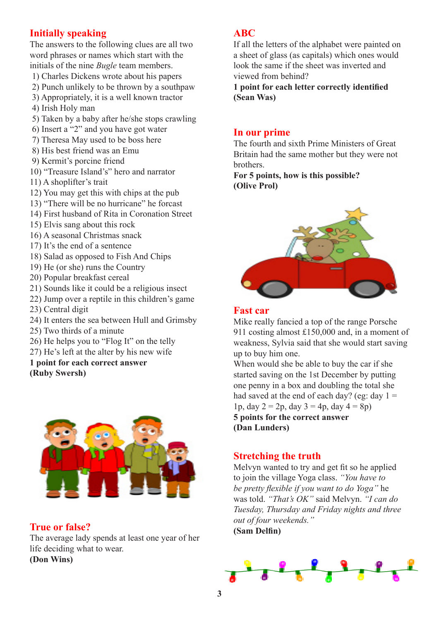# **Initially speaking**

The answers to the following clues are all two word phrases or names which start with the initials of the nine *Bugle* team members.

- 1) Charles Dickens wrote about his papers
- 2) Punch unlikely to be thrown by a southpaw
- 3) Appropriately, it is a well known tractor
- 4) Irish Holy man
- 5) Taken by a baby after he/she stops crawling
- 6) Insert a "2" and you have got water
- 7) Theresa May used to be boss here
- 8) His best friend was an Emu
- 9) Kermit's porcine friend
- 10) "Treasure Island's" hero and narrator
- 11) A shoplifter's trait
- 12) You may get this with chips at the pub
- 13) "There will be no hurricane" he forcast
- 14) First husband of Rita in Coronation Street
- 15) Elvis sang about this rock
- 16) A seasonal Christmas snack
- 17) It's the end of a sentence
- 18) Salad as opposed to Fish And Chips
- 19) He (or she) runs the Country
- 20) Popular breakfast cereal
- 21) Sounds like it could be a religious insect
- 22) Jump over a reptile in this children's game
- 23) Central digit
- 24) It enters the sea between Hull and Grimsby
- 25) Two thirds of a minute
- 26) He helps you to "Flog It" on the telly
- 27) He's left at the alter by his new wife
- **1 point for each correct answer**
- **(Ruby Swersh)**



## **True or false?**

The average lady spends at least one year of her life deciding what to wear.

**(Don Wins)**

## **ABC**

If all the letters of the alphabet were painted on a sheet of glass (as capitals) which ones would look the same if the sheet was inverted and viewed from behind?

**1 point for each letter correctly identified (Sean Was)**

#### **In our prime**

The fourth and sixth Prime Ministers of Great Britain had the same mother but they were not brothers.

**For 5 points, how is this possible? (Olive Prol)** 



#### **Fast car**

Mike really fancied a top of the range Porsche 911 costing almost £150,000 and, in a moment of weakness, Sylvia said that she would start saving up to buy him one.

When would she be able to buy the car if she started saving on the 1st December by putting one penny in a box and doubling the total she had saved at the end of each day? (eg: day  $1 =$ 1p, day  $2 = 2p$ , day  $3 = 4p$ , day  $4 = 8p$ ) **5 points for the correct answer (Dan Lunders)**

## **Stretching the truth**

Melvyn wanted to try and get fit so he applied to join the village Yoga class. *"You have to be pretty flexible if you want to do Yoga"* he was told. *"That's OK"* said Melvyn. *"I can do Tuesday, Thursday and Friday nights and three out of four weekends."* **(Sam Delfin)**

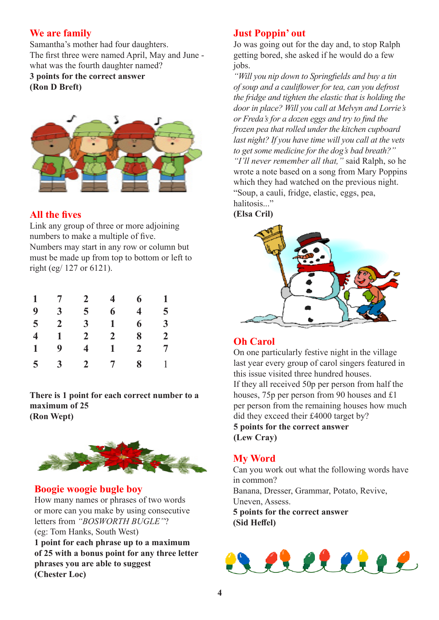# **We are family**

Samantha's mother had four daughters. The first three were named April, May and June what was the fourth daughter named? **3 points for the correct answer (Ron D Breft)**



# **All the fives**

Link any group of three or more adjoining numbers to make a multiple of five. Numbers may start in any row or column but must be made up from top to bottom or left to right (eg/ 127 or 6121).

| $\mathbf{1}$   | $7\overline{ }$ | $2^{\circ}$             | $\overline{4}$  | 6              | $\mathbf{1}$   |
|----------------|-----------------|-------------------------|-----------------|----------------|----------------|
| 9              | 3 <sup>2</sup>  | 5 <sup>5</sup>          | 6               | 4              | 5 <sup>5</sup> |
| $\overline{5}$ | $\overline{2}$  | 3 <sup>1</sup>          | $\mathbf{1}$    | 6              | 3 <sup>1</sup> |
| $\overline{4}$ | $\mathbf{1}$    | 2 <sup>1</sup>          | 2 <sup>1</sup>  | 8              | 2 <sup>1</sup> |
| $\mathbf{1}$   | 9               | $\overline{\mathbf{4}}$ | $\mathbf{1}$    | $\overline{2}$ | $\overline{7}$ |
| 5 <sup>5</sup> | 3 <sup>1</sup>  | 2 <sup>1</sup>          | $7\overline{ }$ | 8              | $\mathbf{1}$   |

**There is 1 point for each correct number to a maximum of 25 (Ron Wept)**



# **Boogie woogie bugle boy**

How many names or phrases of two words or more can you make by using consecutive letters from *"BOSWORTH BUGLE"*? (eg: Tom Hanks, South West) **1 point for each phrase up to a maximum of 25 with a bonus point for any three letter phrases you are able to suggest (Chester Loc)**

# **Just Poppin' out**

Jo was going out for the day and, to stop Ralph getting bored, she asked if he would do a few jobs.

*"Will you nip down to Springfields and buy a tin of soup and a cauliflower for tea, can you defrost the fridge and tighten the elastic that is holding the door in place? Will you call at Melvyn and Lorrie's or Freda's for a dozen eggs and try to find the frozen pea that rolled under the kitchen cupboard last night? If you have time will you call at the vets to get some medicine for the dog's bad breath?" "I'll never remember all that,"* said Ralph, so he wrote a note based on a song from Mary Poppins which they had watched on the previous night. "Soup, a cauli, fridge, elastic, eggs, pea, halitosis..." **(Elsa Cril)**



# **Oh Carol**

On one particularly festive night in the village last year every group of carol singers featured in this issue visited three hundred houses. If they all received 50p per person from half the houses, 75p per person from 90 houses and £1 per person from the remaining houses how much did they exceed their £4000 target by? **5 points for the correct answer (Lew Cray)**

# **My Word**

Can you work out what the following words have in common? Banana, Dresser, Grammar, Potato, Revive, Uneven, Assess. **5 points for the correct answer (Sid Heffel)**

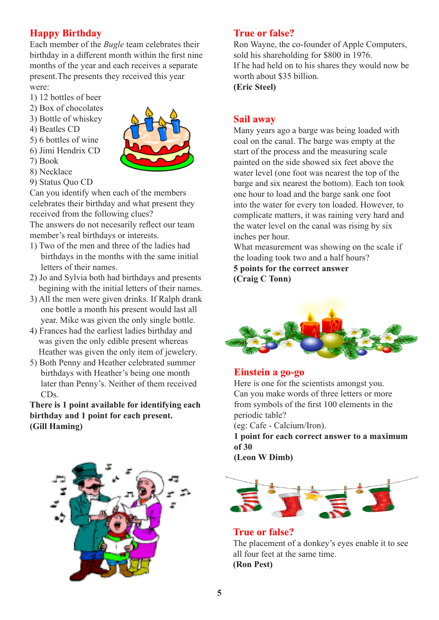# **Happy Birthday**

Each member of the *Bugle* team celebrates their birthday in a different month within the first nine months of the year and each receives a separate present.The presents they received this year were:

- 1) 12 bottles of beer
- 2) Box of chocolates
- 3) Bottle of whiskey
- 4) Beatles CD
- 5) 6 bottles of wine
- 6) Jimi Hendrix CD
- 7) Book
- 8) Necklace



9) Status Quo CD

Can you identify when each of the members celebrates their birthday and what present they received from the following clues?

The answers do not necesarily reflect our team member's real birthdays or interests.

- 1) Two of the men and three of the ladies had birthdays in the months with the same initial letters of their names.
- 2) Jo and Sylvia both had birthdays and presents begining with the initial letters of their names.
- 3) All the men were given drinks. If Ralph drank one bottle a month his present would last all year. Mike was given the only single bottle.
- 4) Frances had the earliest ladies birthday and was given the only edible present whereas Heather was given the only item of jewelery.
- 5) Both Penny and Heather celebrated summer birthdays with Heather's being one month later than Penny's. Neither of them received CDs.

**There is 1 point available for identifying each birthday and 1 point for each present. (Gill Haming)**



# **True or false?**

Ron Wayne, the co-founder of Apple Computers, sold his shareholding for \$800 in 1976. If he had held on to his shares they would now be worth about \$35 billion. **(Eric Steel)**

## **Sail away**

Many years ago a barge was being loaded with coal on the canal. The barge was empty at the start of the process and the measuring scale painted on the side showed six feet above the water level (one foot was nearest the top of the barge and six nearest the bottom). Each ton took one hour to load and the barge sank one foot into the water for every ton loaded. However, to complicate matters, it was raining very hard and the water level on the canal was rising by six inches per hour.

What measurement was showing on the scale if the loading took two and a half hours? **5 points for the correct answer**

**(Craig C Tonn)**



## **Einstein a go-go**

Here is one for the scientists amongst you. Can you make words of three letters or more from symbols of the first 100 elements in the periodic table?

(eg: Cafe - Calcium/Iron).

**1 point for each correct answer to a maximum of 30**

**(Leon W Dimb)**



**True or false?** The placement of a donkey's eyes enable it to see all four feet at the same time. **(Ron Pest)**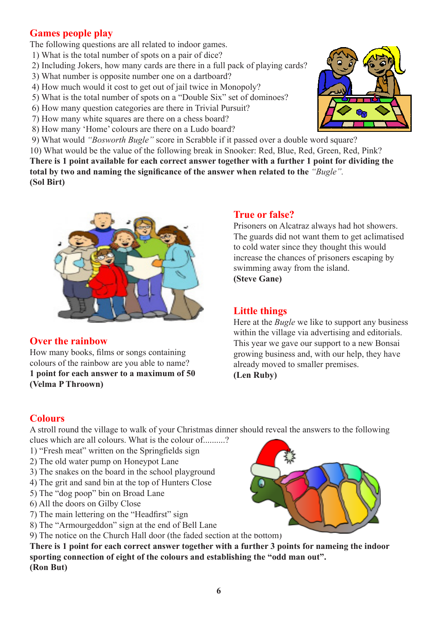# **Games people play**

The following questions are all related to indoor games.

- 1) What is the total number of spots on a pair of dice?
- 2) Including Jokers, how many cards are there in a full pack of playing cards?
- 3) What number is opposite number one on a dartboard?
- 4) How much would it cost to get out of jail twice in Monopoly?
- 5) What is the total number of spots on a "Double Six" set of dominoes?
- 6) How many question categories are there in Trivial Pursuit?
- 7) How many white squares are there on a chess board?
- 8) How many 'Home' colours are there on a Ludo board?

9) What would *"Bosworth Bugle"* score in Scrabble if it passed over a double word square?

10) What would be the value of the following break in Snooker: Red, Blue, Red, Green, Red, Pink? **There is 1 point available for each correct answer together with a further 1 point for dividing the total by two and naming the significance of the answer when related to the** *"Bugle".* **(Sol Birt)** 



# **Over the rainbow**

How many books, films or songs containing colours of the rainbow are you able to name? **1 point for each answer to a maximum of 50 (Velma P Throown)**

## **True or false?**

Prisoners on Alcatraz always had hot showers. The guards did not want them to get aclimatised to cold water since they thought this would increase the chances of prisoners escaping by swimming away from the island. **(Steve Gane)**

# **Little things**

Here at the *Bugle* we like to support any business within the village via advertising and editorials. This year we gave our support to a new Bonsai growing business and, with our help, they have already moved to smaller premises.

**(Len Ruby)**

# **Colours**

A stroll round the village to walk of your Christmas dinner should reveal the answers to the following

clues which are all colours. What is the colour of..........?

- 1) "Fresh meat" written on the Springfields sign
- 2) The old water pump on Honeypot Lane
- 3) The snakes on the board in the school playground
- 4) The grit and sand bin at the top of Hunters Close
- 5) The "dog poop" bin on Broad Lane
- 6) All the doors on Gilby Close
- 7) The main lettering on the "Headfirst" sign
- 8) The "Armourgeddon" sign at the end of Bell Lane
- 9) The notice on the Church Hall door (the faded section at the bottom)

**There is 1 point for each correct answer together with a further 3 points for nameing the indoor sporting connection of eight of the colours and establishing the "odd man out". (Ron But)**



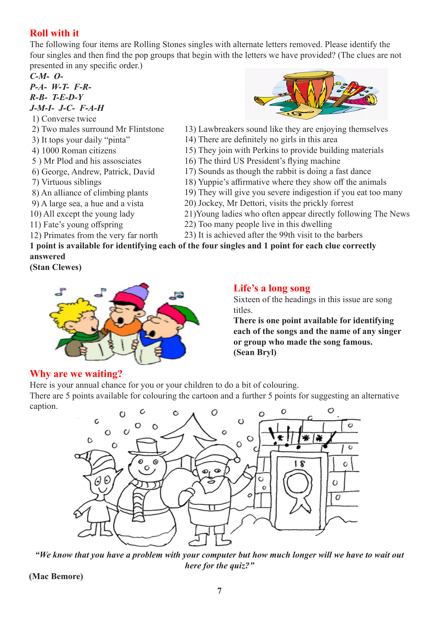# **Roll with it**

The following four items are Rolling Stones singles with alternate letters removed. Please identify the four singles and then find the pop groups that begin with the letters we have provided? (The clues are not presented in any specific order.)

*C-M- O-*

*P-A- W-T- F-R-R-B- T-E-D-Y J-M-I- J-C- F-A-H*

- 1) Converse twice
- 2) Two males surround Mr Flintstone
- 3) It tops your daily "pinta"
- 4) 1000 Roman citizens
- 5 ) Mr Plod and his assosciates
- 6) George, Andrew, Patrick, David
- 7) Virtuous siblings
- 8) An alliance of climbing plants
- 9) A large sea, a hue and a vista
- 10) All except the young lady
- 11) Fate's young offspring
- 12) Primates from the very far north
- 
- 13) Lawbreakers sound like they are enjoying themselves
- 14) There are definitely no girls in this area
- 15) They join with Perkins to provide building materials
- 16) The third US President's flying machine
- 17) Sounds as though the rabbit is doing a fast dance
- 18) Yuppie's affirmative where they show off the animals
- 19) They will give you severe indigestion if you eat too many
- 20) Jockey, Mr Dettori, visits the prickly forrest
- 21)Young ladies who often appear directly following The News
- 22) Too many people live in this dwelling
- 23) It is achieved after the 99th visit to the barbers

**1 point is available for identifying each of the four singles and 1 point for each clue correctly answered**

**(Stan Clewes)**



## **Life's a long song**

Sixteen of the headings in this issue are song titles.

**There is one point available for identifying each of the songs and the name of any singer or group who made the song famous. (Sean Bryl)**

# **Why are we waiting?**

Here is your annual chance for you or your children to do a bit of colouring.

There are 5 points available for colouring the cartoon and a further 5 points for suggesting an alternative caption.



*"We know that you have a problem with your computer but how much longer will we have to wait out here for the quiz?"*

**(Mac Bemore)**